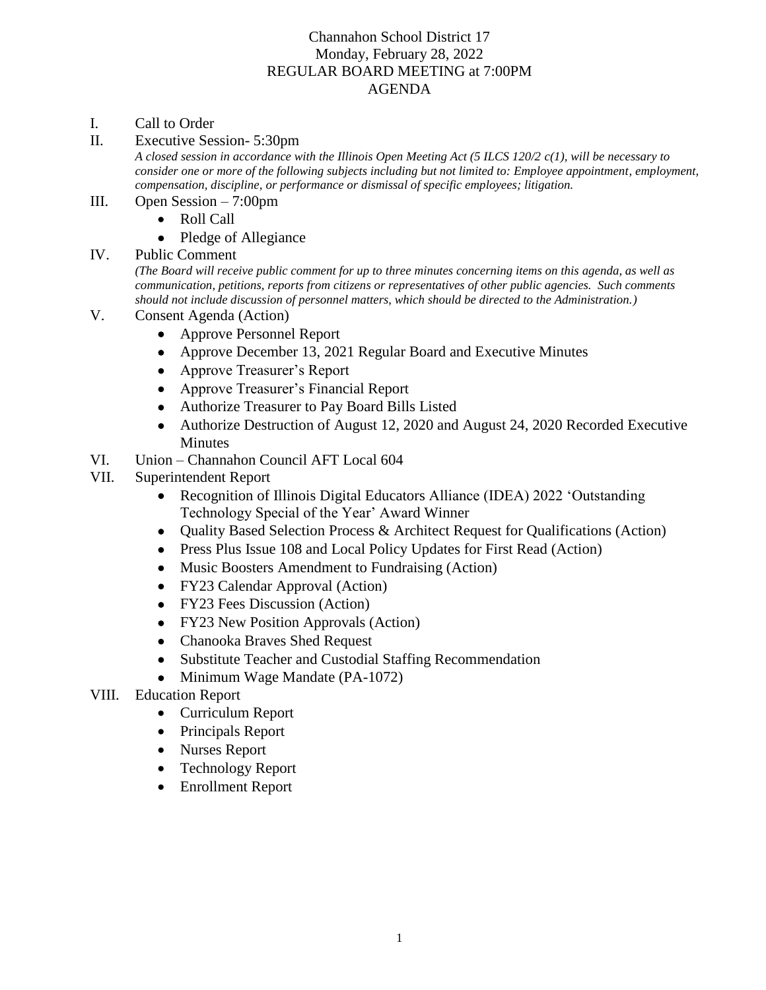## Channahon School District 17 Monday, February 28, 2022 REGULAR BOARD MEETING at 7:00PM AGENDA

- I. Call to Order
- II. Executive Session- 5:30pm

*A closed session in accordance with the Illinois Open Meeting Act (5 ILCS 120/2 c(1), will be necessary to consider one or more of the following subjects including but not limited to: Employee appointment, employment, compensation, discipline, or performance or dismissal of specific employees; litigation.* 

- III. Open Session 7:00pm
	- Roll Call
	- Pledge of Allegiance
- IV. Public Comment

*(The Board will receive public comment for up to three minutes concerning items on this agenda, as well as communication, petitions, reports from citizens or representatives of other public agencies. Such comments should not include discussion of personnel matters, which should be directed to the Administration.)*

- V. Consent Agenda (Action)
	- Approve Personnel Report
	- Approve December 13, 2021 Regular Board and Executive Minutes
	- Approve Treasurer's Report
	- Approve Treasurer's Financial Report
	- Authorize Treasurer to Pay Board Bills Listed
	- Authorize Destruction of August 12, 2020 and August 24, 2020 Recorded Executive **Minutes**
- VI. Union Channahon Council AFT Local 604
- VII. Superintendent Report
	- Recognition of Illinois Digital Educators Alliance (IDEA) 2022 'Outstanding Technology Special of the Year' Award Winner
	- Quality Based Selection Process & Architect Request for Qualifications (Action)
	- Press Plus Issue 108 and Local Policy Updates for First Read (Action)
	- Music Boosters Amendment to Fundraising (Action)
	- FY23 Calendar Approval (Action)
	- FY23 Fees Discussion (Action)
	- FY23 New Position Approvals (Action)
	- Chanooka Braves Shed Request
	- Substitute Teacher and Custodial Staffing Recommendation
	- Minimum Wage Mandate (PA-1072)
- VIII. Education Report
	- Curriculum Report
	- Principals Report
	- Nurses Report
	- Technology Report
	- Enrollment Report